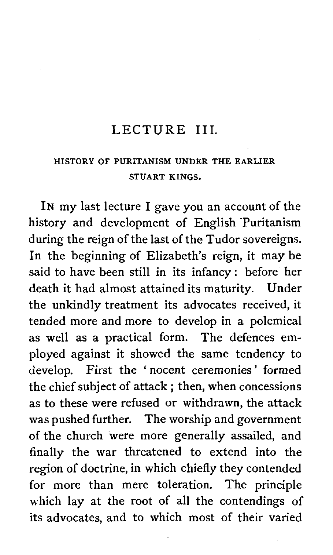#### LECTURE 111.

#### HISTORY OF PURITANISM UNDER THE EARLIER STUART KINGS.

IN my last lecture I gave you an account of the history and development of English 'Puritanism during the reign of the last of the Tudor sovereigns. In the beginning of Elizabeth's reign, it may be said to have been still in its infancy : before her death it had almost attained its maturity. Under the unkindly treatment its advocates received, it tended more and more to develop in a polemical as well as a practical form. The defences employed against it showed the same tendency to develop. First the 'nocent ceremonies' formed the chief subject of attack ; then, when concessions as to these were refused or withdrawn, the attack was pushed further. The worship and government of the church 'were more generally assailed, and finally the war threatened to extend into the region of doctrine, in which chiefly they contended for more than mere toleration. The principle which lay at the root of all the contendings of its advocates, and to which most of their varied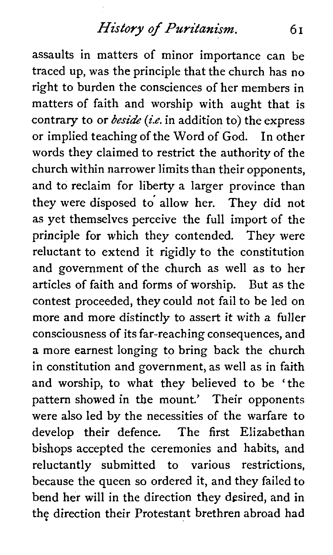assaults in matters of minor importance can be traced up, was the principle that the church has no right to burden the consciences of her members in matters of faith and worship with aught that is contrary to or *beside (i.e.* in addition to) the express or implied teaching of the Word of God. In other words they claimed to restrict the authority of the church within narrower limits than their opponents, and to reclaim for liberty a larger province than they were disposed to allow her. They did not as yet themselves perceive the full import of the principle for which they contended. They were reluctant to extend it rigidly to the constitution and government of the church as well as to her articles of faith and forms of worship. But as the contest proceeded, they could not fail to be led on more and more distinctly to assert it with a fuller consciousness of its far-reaching consequences, and a more earnest longing to bring back the church in constitution and government, as well as in faith and worship, to what they believed to be 'the pattern showed in the mount.' Their opponents were also led by the necessities of the warfare to develop their defence. The first Elizabethan bishops accepted the ceremonies and habits, and reluctantly submitted to various restrictions, because the queen so ordered it, and they failed to bend her will in the direction they desired, and in the direction their Protestant brethren abroad had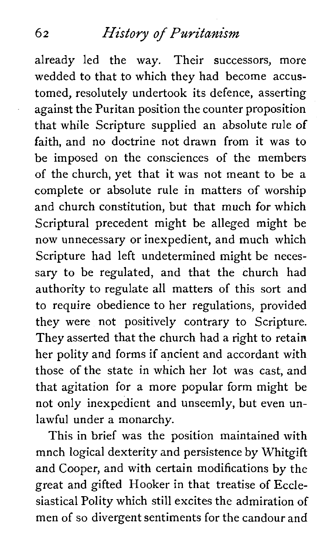already led the way. Their successors, more wedded to that to which they had become accustomed, resolutely undertook its defence, asserting against the Puritan position the counter proposition that while Scripture supplied an absolute rule of faith, and no doctrine not drawn from it was to be imposed on the consciences of the members of the church, yet that it was not meant to be a complete or absolute rule in matters of worship and church constitution, but that much for which Scriptural precedent might be alleged might be now unnecessary or inexpedient, and much which Scripture had left undetermined might be necessary to be regulated, and that the church had authority to regulate all matters of this sort and to require obedience to her regulations, provided they were not positively contrary to Scripture. They asserted that the church had a right to retain her polity and forms if ancient and accordant with those of the state in which her lot was cast, and that agitation for a more popular form might be not only inexpedient and unseemly, but even unlawful under a monarchy.

This in brief was the position maintained with mnch logical dexterity and persistence by Whitgift and Cooper, and with certain modifications by the great and gifted Hooker in that treatise of Ecclesiastical Polity which still excites the admiration of men of so divergent sentiments for the candour and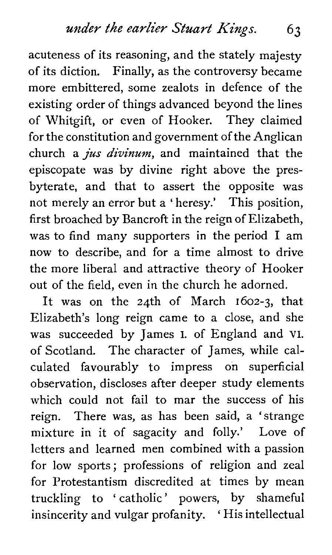acuteness of its reasoning, and the stately majesty of its diction. Finally, as the controversy became more embittered, some zealots in defence of the existing order of things advanced beyond the lines of Whitgift, or even of Hooker. They claimed for the constitution and government of the Anglican church a **jus** *divinum,* and maintained that the episcopate was by divine right above the presbyterate, and that to assert the opposite was not merely an error but a ' heresy.' This position, first broached by Bancroft in the reign of Elizabeth, was to find many supporters in the period I am now to describe, and for a time almost to drive the more liberal and attractive theory of Hooker out of the field, even in the church he adorned.

It was on the 24th of March 1602-3, that Elizabeth's long reign came to a close, and she was succeeded by James I. of England and VI. of Scotland. The character of James, while calculated favourably to impress on superficial observation, discloses after deeper study elements which could not fail to mar the success of his reign. There was, as has been said, a 'strange mixture in it of sagacity and folly.' Love of letters and learned men combined with a passion for low sports ; professions of religion and zeal for Protestantism discredited at times by mean truckling to 'catholic' powers, by shameful insincerity and vulgar profanity. ' His intellectual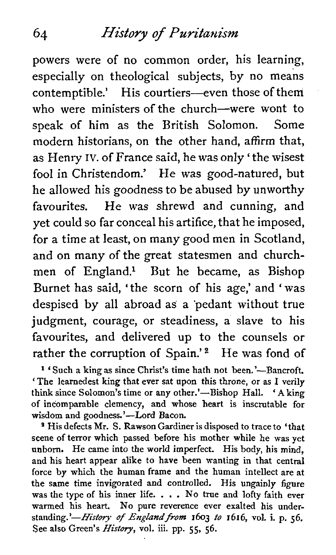powers were of no common order, his learning, especially on theological subjects, by no means contemptible.' His courtiers-even those of them who were ministers of the church-were wont to speak of him as the British Solomon. Some modern historians, on the other hand, affirm that, as Henry IV. of France said, he was only ' the wisest fool in Christendom.' He was good-natured, but he allowed his goodness to be abused by unworthy favourites. He was shrewd and cunning, and yet could so far conceal his artifice, that he imposed, for a time at least, on many good men in Scotland, and on many of the great statesmen and churchmen of England? But he became, as Bishop Burnet has said, 'the scorn of his age,' and ' was despised by all abroad as a pedant without true judgment, courage, or steadiness, a slave to his favourites, and delivered up to the counsels or rather the corruption of Spain.'<sup>2</sup> He was fond of

**<sup>l</sup>**' Such a king as since Christ's time hath not been.'-Bancroft. ' The learnedest king that ever sat upon this throne, or as I verily think since Solomon's time or any other.'-Bishop Hall. 'A king of incomparable clemency, and whose heart is inscrutable for wisdom and goodness.'-Lord Bacon.

<sup>2</sup> His defects Mr. S. Rawson Gardiner is disposed to trace to 'that scene of terror which passed before his mother while he was yet unborn. He came into the world imperfect. His body, his mind, and his heart appear alike to have been wanting in that central force by which the human frame and the human intellect are at the same time invigorated and controlled. His ungainly figure was the type of his inner life. . . . No true and lofty faith ever warmed his heart. No pure reverence ever exalted his understanding.'-History **of England from 1603 to 1616,** vol. **i. p.** *56,*  See also Green's **History,** vol. iii. pp. 55, *56.*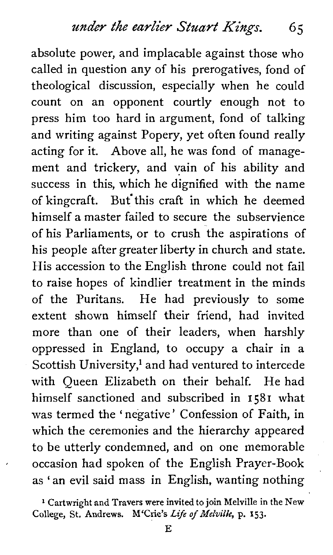absolute power, and implacable against those who called in question any of his prerogatives, fond of theological discussion, especially when he could count on an opponent courtly enough not to press him too hard in argument, fond of talking and writing against Popery, yet often found really acting for it. Above all, he was fond of management and trickery, and vain of his ability and success in this, which he dignified with the name of kingcraft. But this craft in which he deemed himself a master failed to secure the subservience of his Parliaments, or to crush the aspirations of his people after greater liberty in church and state. His accession to the English throne could not fail to raise hopes of kindlier treatment in the minds of the Puritans. He had previously to some extent shown himself their friend, had invited more than one of their leaders, when harshly oppressed in England, to occupy a chair in a Scottish University,<sup>1</sup> and had ventured to intercede with Queen Elizabeth on their behalf. He had himself sanctioned and subscribed in 1581 what was termed the ' negative ' Confession of Faith, in which the ceremonies and the hierarchy appeared to be utterly condemned, and on one memorable occasion had spoken of the English Prayer-Book as ' an evil said mass in English, wanting nothing

**<sup>1</sup>**Cartwright and Travers were invited to join Melville in the New College, St. Andrews. M'Crie's **Life** of *Melvilk,* **p. 153.**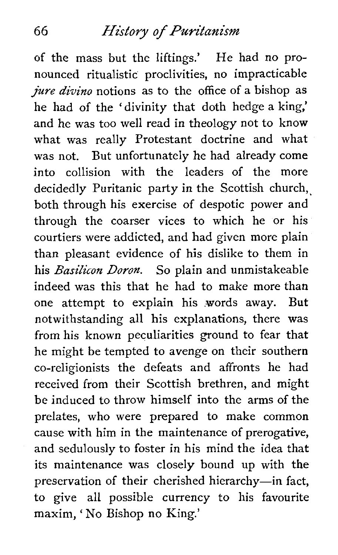of the mass but the liftings.' He had no pronounced ritualistic proclivities, no impracticable *jure divino* notions as to the office of a bishop as he had of the 'divinity that doth hedge a king,' and he was too well read in theology not to know what was really Protestant doctrine and what was not. But unfortunately he had already come into collision with the leaders of the more decidedly Puritanic party in the Scottish church, both through his exercise of despotic power and through the coarser vices to which he or his courtiers were addicted, and had given more plain than pleasant evidence of his dislike to them in his *Basilicon Doron.* So plain and unmistakeable indeed was this that he had to make more than one attempt to explain his .words away. But notwithstanding all his explanations, there was from his known peculiarities ground to fear that he might be tempted to avenge on their southern CO-religionists the defeats and affronts he had received from their Scottish brethren, and might be induced to throw himself into the arms of the prelates, who were prepared to make common cause with him in the maintenance of prerogative, and sedulously to foster in his mind the idea that its maintenance was closely bound up with the preservation of their cherished hierarchy-in fact, to give all possible currency to his favourite maxim, ' No Bishop no King.'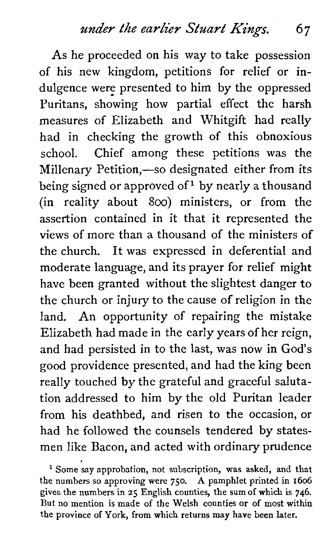*under the earlier Stuart* **Kings.** 6 **<sup>7</sup>**

As he proceeded on his way to take possession of his new kingdom, petitions for relief or indulgence were presented to him by the oppressed Puritans, showing how partial effect the harsh measures of Elizabeth and Whitgift had really had in checking the growth of this obnoxious school. Chief among these petitions was the Millenary Petition,—so designated either from its being signed or approved of  $\frac{1}{2}$  by nearly a thousand (in reality about 800) ministers, or from the assertion contained in it that it represented the views of more than a thousand of the ministers of the church. It was expressed in deferential and moderate language, and its prayer for relief might have been granted without the slightest danger to the church or injury to the cause of religion in the land. An opportunity of repairing the mistake Elizabeth had made in the early years of her reign, and had persisted in to the last, was now in God's good providence presented, and had the king been really touched by the grateful and graceful salutation addressed to him by the old Puritan leader from his deathbed, and risen to the occasion, or had he followed the counsels tendered by statesmen like Bacon, and acted with ordinary prudence

<sup>1</sup> Some say approbation, not subscription, was asked, and that **the numbers so approving were 750. A pamphlet printed in 1606 gives the numbers in 25 English counties, the sum of which is 746. But no mention is made of the Welsh counties or of most within the province of York, from which returns may have been later.**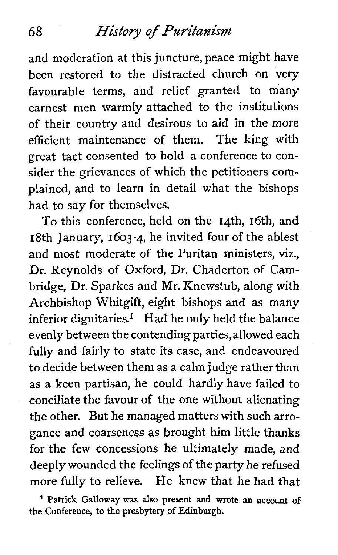and moderation at this juncture, peace might have been restored to the distracted church on very favourable terms, and relief granted to many earnest men warmly attached to the institutions of their country and desirous to aid in the more efficient maintenance of them. The king with great tact consented to hold a conference to consider the grievances of which the petitioners complained, and to learn in detail what the bishops had to say for themselves.

To this conference, held on the 14th, 16th, and 18th January, 1603-4, he invited four of the ablest and most moderate of the Puritan ministers, viz., Dr. Reynolds of Oxford, Dr. Chaderton of Cambridge, Dr. Sparkes and Mr. Knewstub, along with Archbishop Whitgift, eight bishops and as many inferior dignitaries.<sup> $1$ </sup> Had he only held the balance evenly between the contending parties, allowed each fully and fairly to state its case, and endeavoured to decide between them as a calm judge rather than as a keen partisan, he could hardly have failed to conciliate the favour of the one without alienating the other. But he managed matters with such arrogance and coarseness as brought him little thanks for the few concessions he ultimately made, and deeply wounded the feelings of the party he refused more fully to relieve. He knew that he had that

' **Patrick Galloway was also present and wrote an account of the Conference, to the presbytery of Edinburgh.**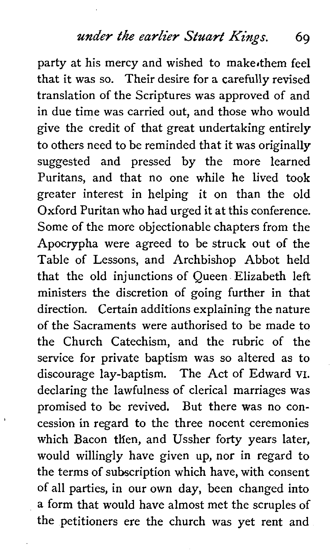*under the earlier Stuart Kings.* <sup>69</sup>

party at his mercy and wished to make them feel that it was so. Their desire for a carefully revised translation of the Scriptures was approved of and in due time was carried out, and those who would give the credit of that great undertaking entirely to others need to be reminded that it was originally suggested and pressed by the more learned Puritans, and that no one while he lived took greater interest in helping it on than the old Oxford Puritan who had urged it at this conference. Some of the more objectionable chapters from the Apocrypha were agreed to be struck out of the Table of Lessons, and Archbishop Abbot held that the old injunctions of Queen Elizabeth left ministers the discretion of going further in that direction. Certain additions explaining the nature of the Sacraments were authorised to be made to the Church Catechism, and the rubric of the service for private baptism was so altered as to discourage lay-baptism. The Act of Edward **VI.**  declaring the lawfulness of clerical marriages was promised to be revived. But there was no con- ' cession in regard to the three nocent ceremonies which Bacon then, and Ussher forty years later, would willingly have given up, nor in regard to the terms of subscription which have, with consent of all parties, in our own day, been changed into a form that would have almost met the scruples of the petitioners ere the church was yet rent and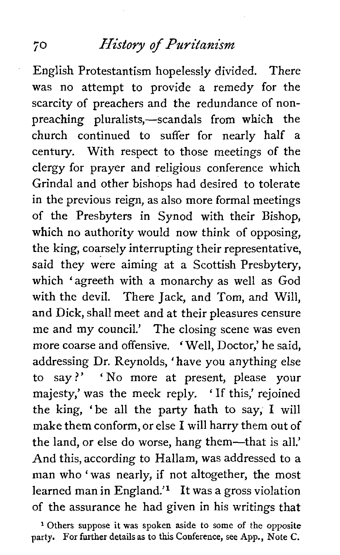English Protestantism hopelessly divided. There was no attempt to provide a remedy for the scarcity of preachers and the redundance of nonpreaching pluralists,-scandals from which the church continued to suffer for nearly half *a*  century. With respect to those meetings of the clergy for prayer and religious conference which Grindal and other bishops had desired to tolerate in the previous reign, as also more formal meetings of the Presbyters in Synod with their Bishop, which no authority would now think of opposing. the king, coarsely interrupting their representative, said they were aiming at a Scottish Presbytery, which 'agreeth with a monarchy as well as God with the devil. There Jack, and Tom, and Will, and Dick, shall meet and at their pleasures censure me and my council.' The closing scene was even more coarse and offensive. 'Well, Doctor,' he said, addressing Dr. Reynolds, 'have you anything else to say ?' ' No more at present, please your majesty,' was the meek reply. ' If this,' rejoined the king, 'be all the party hath to say, I will make them conform, or else I will harry them out of the land, or else do worse, hang them--that is all.' And this, according to Hallam, was addressed to **a**  man who ' was nearly, if not altogether, the most learned man in England.<sup> $1$ </sup> It was a gross violation of the assurance he had given in his writings that

\* **Others suppose it was spoken aside to some of the opposite party. For farther details as to this Conference, see App., Note C.**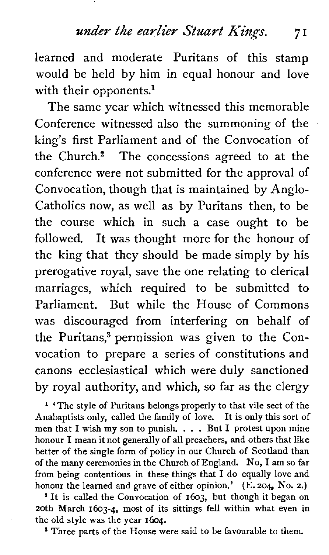# *under the earlier* Stuart *Kings.* 7 <sup>I</sup>

learned and moderate Puritans of this stamp would be held by him in equal honour and love with their opponents.<sup>1</sup>

The same year which witnessed this memorable Conference witnessed also the summoning of the king's first Parliament and of the Convocation of the Church. $2$  The concessions agreed to at the conference were not submitted for the approval of Convocation, though that is maintained by Anglo-Catholics now, as well as by Puritans then, to be the course which in such a case ought to be followed. It was thought more for the honour of the king that they should be made simply by his prerogative royal, save the one relating to clerical marriages, which required to be submitted to Parliament. But while the House of Commons was discouraged from interfering on behalf of the Puritans,<sup>3</sup> permission was given to the Convocation to prepare *a* series of constitutions and canons ecclesiastical which were duly sanctioned by royal authority, and which, so far as the clergy

**1** 'The style of Puritans belongs properly to that vile sect of the Anabaptists only, called the family of love. It is only this sort of men that I wish my son to punish. . . . But I protest upon mine honour I mean it not generally of all preachers, and others that like better of the single form of policy in our Church of Scotland than of the many ceremonies in the Church of England. No, I am so far from being contentious in these things that I do equally love and honour the learned and grave of either opinion.' (E. 204, No. 2.)

<sup>2</sup> It is called the Convocation of 1603, but though it began on 20th March **1603-4,** most of its sittings fell within what even in the old style was the year **1604.** 

<sup>8</sup> Three parts of the House were said to be favourable to them.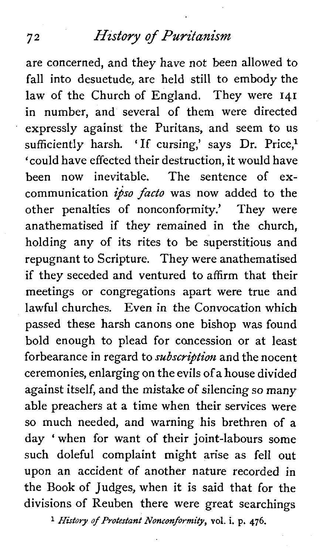are concerned, and they have not been allowed to fall into desuetude, are held still to embody the law of the Church of England. They were **141**  in number, and several of them were directed expressly against the Puritans, and seem to us sufficiently harsh. 'If cursing,' says Dr. Price,<sup>1</sup> 'could have effected their destruction, it would have been now inevitable. The sentence of excommunication *ipso facto* was now added to the other penalties of nonconformity.' They were anathematised if they remained in the church, holding any of its rites to be superstitious and repugnant to Scripture. They were anathematised if they seceded and ventured to affirm that their meetings or congregations apart were true and lawful churches. Even in the Convocation which passed these harsh canons one bishop was found bold enough to plead for concession or at least forbearance in regard to **subscription** and the nocent ceremonies, enlarging on the evils of a house divided against itself, and the mistake of silencing so many able preachers at a time when their services were so much needed, and warning his brethren of a day 'when for want of their joint-labours some such doleful complaint might arise as fell out upon an accident of another nature recorded in the Book of Judges, when it is said that for the divisions of Reuben there were great searchings

*History of Protestant Nonconformity, vol.* **i. p. 476.**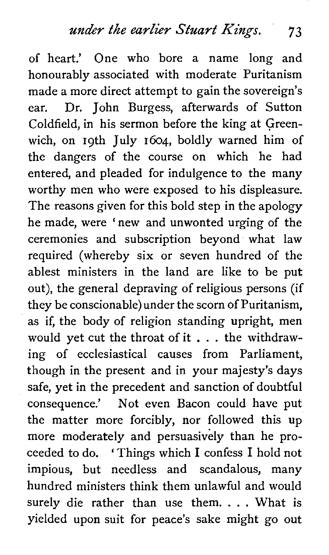**under the earlier Stuart Kings. 73** 

of heart.' One who bore a name long and honourably associated with moderate Puritanism made a more direct attempt to gain the sovereign's ear. Dr. John Burgess, afterwards of Sutton Coldfield, in his sermon before the king at Greenwich, on 19th July 1604, boldly warned him of the dangers of the course on which he had entered, and pleaded for indulgence to the many worthy men who were exposed to his displeasure. The reasons given for this bold step in the apology he made, were ' new and unwonted urging of the ceremonies and subscription beyond what law required (whereby six or seven hundred of the ablest ministers in the land are like to be put out), the general depraving of religious persons (if they be conscionable) under the scorn of Puritanism, as if, the body of religion standing upright, men would yet cut the throat of it . . . the withdrawing of ecclesiastical causes from Parliament, though in the present and in your majesty's days safe, yet in the precedent and sanction of doubtful consequence.' Not even Bacon could have put the matter more forcibly, nor followed this up more moderately and persuasively than he proceeded to do. ' Things which I confess I hold not impious, but needless and scandalous, many hundred ministers think them unlawful and would surely die rather than use them. . . . What is yielded upon suit for peace's sake might go out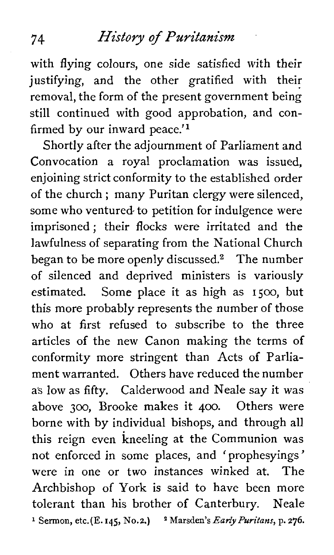with flying colours, one side satisfied with their justifying, and the other gratified with their removal, the form of the present government being still continued with good approbation, and confirmed by our inward peace.'l

Shortly after the adjournment of Parliament and Convocation a royal proclamation was issued, enjoining strict conformity to the established order of the church ; many Puritan clergy were silenced, some who ventured- to petition for indulgence were imprisoned ; their flocks were irritated and the lawfulness of separating from the National Church began to be more openly discussed. $2$  The number of silenced and deprived ministers is variously estimated. Some place it as high as 1500, but this more probably represents the number of those who at first refused to subscribe to the three articles of the new Canon making the terms of conformity more stringent than Acts of Parliament warranted. Others have reduced the number a's low as fifty. Calderwood and Neale say it was above 300, Brooke makes it 400. Others were borne with by individual bishops, and through all this reign even kneeling at the Communion was not enforced in some places, and ' prophesyings ' were in one or two instances winked at. The Archbishop of York is said to have been more tolerant than his brother of Canterbury. Neale **1 Sermon, etc. (E. 145, No.2.)** <sup>2</sup> Marsden's *Early Puritans*, p. 276.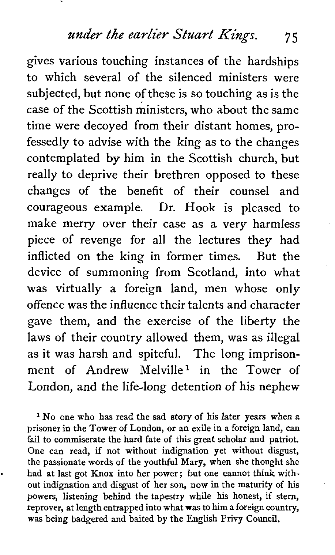*under the earlier Stuart Kings.* **<sup>75</sup>**

gives various touching instances of the hardships to which several of the silenced ministers were subjected, but none of these is so touching as is the case of the Scottish ministers, who about the same time were decoyed from their distant homes, professedly to advise with the king as to the changes contemplated by him in the Scottish church, but really to deprive their brethren opposed to these changes of the benefit of their counsel and courageous example. Dr. Hook is pleased to make merry over their case as a very harmless piece of revenge for all the lectures they had inflicted on the king in former times. But the device of summoning from Scotland, into what was virtually a foreign land, men whose only offence was the influence their talents and character gave them, and the exercise of the liberty the laws of their country allowed them, was as illegal as it was harsh and spiteful. The long imprisonment of Andrew Melville<sup>1</sup> in the Tower of London, and the life-long detention of his nephew

<sup>1</sup> No one who has read the sad story of his later years when a prisoner in the Tower of London, or an exile in a foreign land, can fail to commiserate the hard fate of this great scholar and patriot. One can read, if not without indignation yet without disgust, the passionate words of the youthful Mary, when she thought she had at last got Knox into her power; but one cannot think without indignation and disgust of her son, now in the maturity of his powers, listening behind the tapestry while his honest, if stem, reprover, at length entrapped into what was to him a foreign country, was being badgered and baited by the English Privy Council.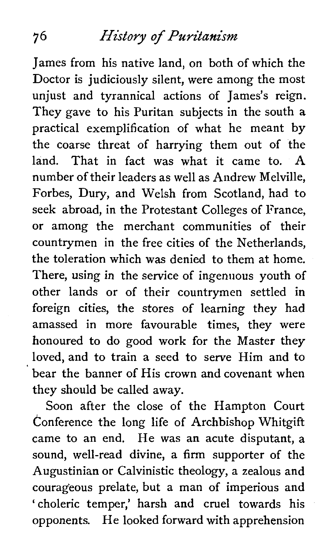James from his native land, on both of which the Doctor is judiciously silent, were among the most unjust and tyrannical actions of James's reign. They gave to his Puritan subjects in the south a practical exemplification of what he meant by the coarse threat of harrying them out of the land. That in fact was what it came to. **A**  number of their leaders as well as Andrew Melville, Forbes, Dury, and Welsh from Scotland, had to seek abroad, in the Protestant Colleges of France, or among the merchant communities of their countrymen in the free cities of the Netherlands, the toleration which was denied to them at home. There, using in the service of ingenuous youth of other lands or of their countrymen settled in foreign cities, the stores of learning they had amassed in more favourable times, they were honoured to do good work for the Master they loved, and to train a seed to serve Him and to bear the banner of His crown and covenant when they should be called away.

Soon after the close of the Hampton Court Conference the long life of Archbishop Whitgift came to an end. He was an acute disputant, a sound, well-read divine, a firm supporter of the Augustinian or Calvinistic theology, a zealous and courageous prelate, but a man of imperious and 'choleric temper,' harsh and cruel towards his opponents. He looked forward with apprehension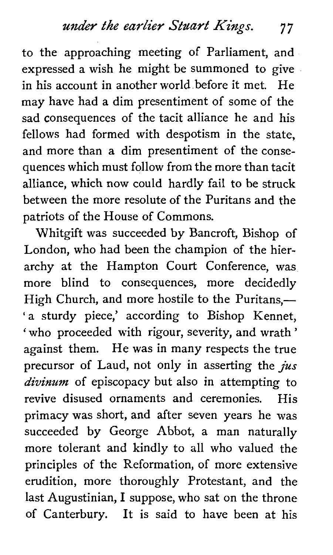to the approaching meeting of Parliament, and expressed a wish he might be summoned to give in his account in another world before it met. He may have had a dim presentiment of some of the sad consequences of the tacit alliance he and his fellows had formed with despotism in the state, and more than a dim presentiment of the consequences which must follow from the more than tacit alliance, which now could hardly fail to be struck between the more resolute of the Puritans and the patriots of the House of Commons.

Whitgift was succeeded by Bancroft, Bishop of London, who had been the champion of the hierarchy at the Hampton Court Conference, was more blind to consequences, more decidedly High Church, and more hostile to the Puritans.-'a sturdy piece,' according to Bishop Kennet, ' who proceeded with rigour, severity, and wrath ' against them. He was in many respects the true precursor of Laud, not only in asserting the  $jus$ *divinum* of episcopacy but also in attempting to revive disused ornaments and ceremonies. His primacy was short, and after seven years he was succeeded by George Abbot, a man naturally more tolerant and kindly to all who valued the principles of the Reformation, of more extensive erudition, more thoroughly Protestant, and the last Augustinian, I suppose, who sat on the throne of Canterbury. It is said to have been at his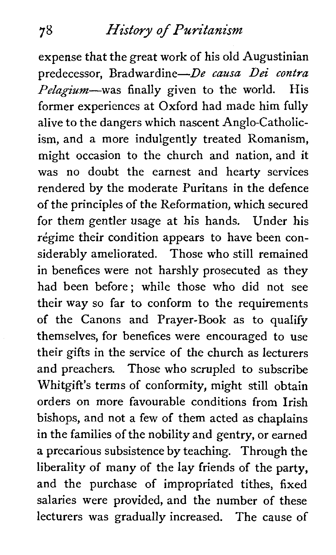expense that the great work of his old Augustinian predecessor, Bradwardine-De causa Dei contra Pelagium-was finally given to the world. His former experiences at Oxford had made him fully alive to the dangers which nascent Anglo-Catholicism, and a more indulgently treated Romanism, might occasion to the church and nation, and it was no doubt the earnest and hearty services rendered by the moderate Puritans in the defence of the principles of the Reformation, which secured for them gentler usage at his hands. Under his régime their condition appears to have been considerably ameliorated. Those who still remained in benefices were not harshly prosecuted as they had been before; while those who did not see their way so far to conform to the requirements of the Canons and Prayer-Book as to qualify themselves, for benefices were encouraged to use their gifts in the service of the church as lecturers and preachers. Those who scrupled to subscribe Whitgift's terms of conformity, might still obtain orders on more favourable conditions from Irish bishops, and not a few of them acted as chaplains in the families of the nobility and gentry, or earned a precarious subsistence by teaching. Through the liberality of many of the lay friends of the party, and the purchase of impropriated tithes, fixed salaries were provided, and the number of these lecturers was gradually increased. The cause of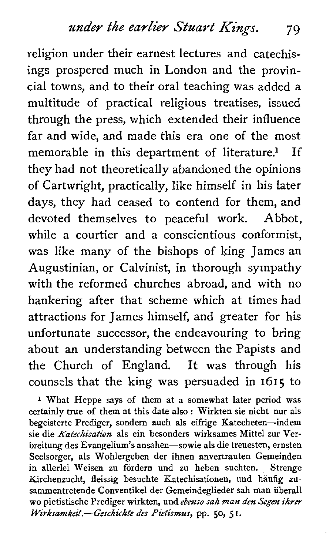religion under their earnest lectures and catechisings prospered much in London and the provincial towns, and to their oral teaching was added a multitude of practical religious treatises, issued through the press, which extended their influence far and wide, and made this era one of the most memorable in this department of literature? If they had not theoretically abandoned the opinions of Cartwright, practically, like himself in his later days, they had ceased to contend for them, and devoted themselves to peaceful work. Abbot, while a courtier and a conscientious conformist, was like many of the bishops of king James an Augustinian, or Calvinist, in thorough sympathy with the reformed churches abroad, and with no hankering after that scheme which at times had attractions for James himself, and greater for his unfortunate successor, the endeavouring to bring about an understanding between the Papists and the Church of England. It was through his counsels that the king was persuaded in **1615** to

**<sup>1</sup>**What Heppe says of them at a somewhat later period was certainly true of them at this date also : Wirkten sie nicht nur als begeisterte Prediger, sondern auch als eifrige Katecheten-indem sie die *Kafechisation* als ein besonders wirksames Mittel zur Verbreitung des Evangelium's ansahen-sowie als die treuesten, ernsten Seelsorger, als Wohlergeben der ihnen anvertrauten Gemeinden in allerlei Weisen zu fördern und zu heben suchten. Strenge Kirchenzucht, fleissig besuchte Katechisationen, und häufig zusammentretende Conventikel der Gemeindeglieder sah man uberall WO pietistische Prediger wirkten, und etenso sah **man** *den Segen ihrcr*  Wirksamkett.-Geschichte *des* Pietismus, pp. *50,* **5** I.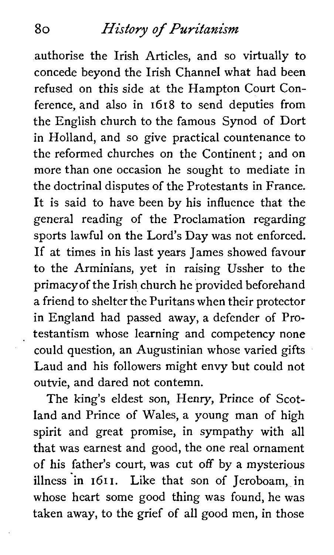authorise the Irish Articles, and so virtually to concede beyond the Irish Channel what had been refused on this side at the Hampton Court Conference, and also in 1618 to send deputies from the English church to the famous Synod of Dort in Holland, and so give practical countenance to the reformed churches on the Continent ; and on more than one occasion he sought to mediate in the doctrinal disputes of the Protestants in France. It is said to have been by his influence that the general reading of the Proclamation regarding sports lawful on the Lord's Day was not enforced. If at times in his last years James showed favour to the Arminians, yet in raising Ussher to the primacyof the Irish church he provided beforehand a friend to shelter the Puritans when their protector in England had passed away, a defender of Protestantism whose learning and competency none could question, an Augustinian whose varied gifts Laud and his followers might envy but could not outvie, and dared not contemn.

The king's eldest son, Henry, Prince of Scotland and Prince of Wales, a young man of high spirit and great promise, in sympathy with all that was earnest and good, the one real ornament of his father's court, was cut off by a mysterious illness in 1611. Like that son of Jeroboam, in whose heart some good thing was found, he was taken away, to the grief of all good men, in those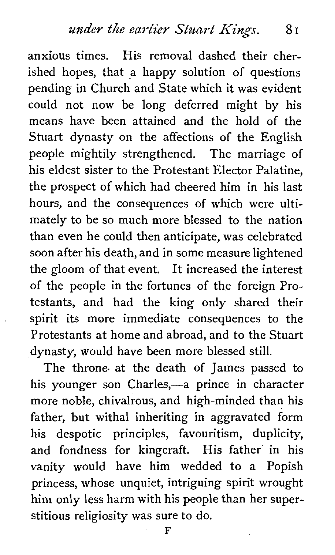anxious times. His removal dashed their cherished hopes, that a happy solution of questions pending in Church and State which it was evident could not now be long deferred might by his means have been attained and the hold of the Stuart dynasty on the affections of the English people mightily strengthened. The marriage of his eldest sister to the Protestant Elector Palatine, the prospect of which had cheered him in his last hours, and the consequences of which were ultimately to be so much more blessed to the nation than even he could then anticipate, was celebrated soon after his death, and in some measure lightened the gloom of that event. It increased the interest of the people in the fortunes of the foreign Protestants, and had the king only shared their spirit its more immediate consequences to the Protestants at home and abroad, and to the Stuart dynasty, would have been more blessed still.

The throne. at the death of James passed to his younger son Charles,—a prince in character more noble, chivalrous, and high-minded than his father, but withal inheriting in aggravated form his despotic principles, favouritism, duplicity, and fondness for kingcraft. His father in his vanity would have him wedded to a Popish princess, whose unquiet, intriguing spirit wrought him only less harm with his people than her superstitious religiosity was sure to do.

**F**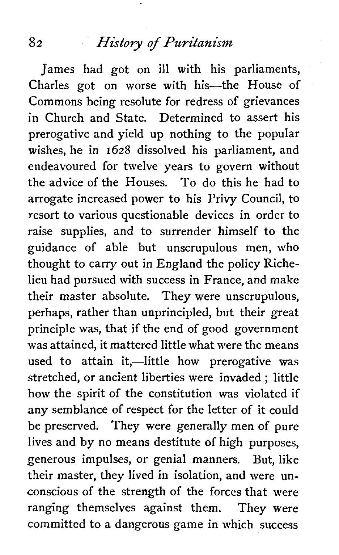James had got on ill with his parliaments, Charles got on worse with his-the House of Commons being resolute for redress of grievances in Church and State. Determined to assert his prerogative and yield up nothing to the popular wishes, he in 1628 dissolved his parliament, and endeavoured for twelve years to govern without the advice of the Houses. To do this he had to arrogate increased power to his Privy Council, to resort to various questionable devices in order to raise supplies, and to surrender himself to the guidance of able but unscrupulous men, who thought to carry out in England the policy Richelieu had pursued with success in France, and make their master absolute. They were unscrupulous, perhaps, rather than unprincipled, but their great principle was, that if the end of good government was attained, it mattered little what were the means used to attain it,—little how prerogative was stretched, or ancient liberties were invaded ; little how the spirit of the constitution was violated if any semblance of respect for the letter of it could be preserved. They were generally men of pure lives and by no means destitute of high purposes, generous impulses, or genial manners. But, like their master, they lived in isolation, and were unconscious of the strength of the forces that were ranging themselves against them. They were committed to a dangerous game in which success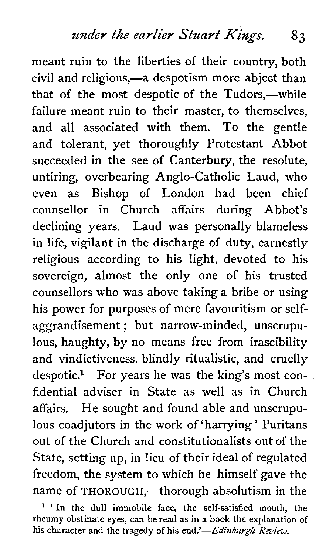*under the* earlier *Stuart Kings.* **<sup>83</sup>**

meant ruin to the liberties of their country, both civil and religious,—a despotism more abject than that of the most despotic of the Tudors,—while failure meant ruin to their master, to themselves, and all associated with them. To the gentle and tolerant, yet thoroughly Protestant Abbot succeeded in the see of Canterbury, the resolute, untiring, overbearing Anglo-Catholic Laud, who even as Bishop of London had been chief counsellor in Church affairs during Abbot's declining years. Laud was personally blameless in life, vigilant in the discharge of duty, earnestly religious according to his light, devoted to his sovereign, almost the only one of his trusted counsellors who was above taking a bribe or using his power for purposes of mere favouritism or selfaggrandisement ; but narrow-minded, unscrupulous, haughty, by no means free from irascibility and vindictiveness, blindly ritualistic, and cruelly despotic.<sup>1</sup> For years he was the king's most confidential adviser in State as well as in Church affairs. He sought and found able and unscrupulous coadjutors in the work of 'harrying ' Puritans out of the Church and constitutionalists out of the State, setting up, in lieu of their ideal of regulated freedom, the system to which he himself gave the name of THOROUGH,---thorough absolutism in the

<sup>1</sup> ' In the dull immobile face, the self-satisfied mouth, the rheumy obstinate eyes, can be read as in a **book** the explanation of his character and the tragedy of his end.'-*Edinburgh Review*.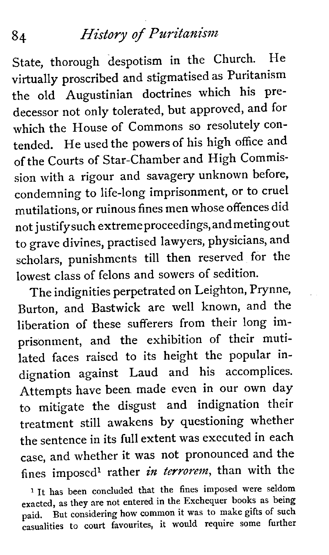State, thorough despotism in the Church. He virtually proscribed and stigmatised as Puritanism the old Augustinian doctrines which his predecessor not only tolerated, but approved, and for which the House of Commons so resolutely contended. He used the powers of his high office and of the Courts of Star-Chamber and High Commission with a rigour and savagery unknown before, condemning to life-long imprisonment, or to cruel mutilations, or ruinous fines men whose offences did not justify such extreme proceedings, and meting out to grave divines, practised lawyers, physicians, and scholars, punishments till then reserved for the lowest class of felons and sowers of sedition.

The indignities perpetrated on Leighton, Prynne, Burton, and Bastwick are well known, and the liberation of these sufferers from their long imprisonment, and the exhibition of their mutilated faces raised to its height the popular indignation against Laud and his accomplices. Attempts have been made even in our own day to mitigate the disgust and indignation their treatment still awakens by questioning whether the sentence in its full extent was executed in each case, and whether it was not pronounced and the fines imposed<sup>1</sup> rather in terrorem, than with the

<sup>1</sup> It has been concluded that the fines imposed were seldom exacted, as they are not entered in the Exchequer books as being paid. But considering how common it was to make gifts of such casualities to court favourites, it would require some further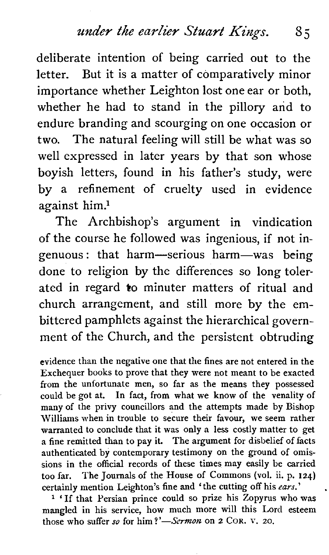*under the earlier Stuart* **Kings.** S **<sup>j</sup>**

deliberate intention of being carried out to the letter. But it is a matter of comparatively minor importance whether Leighton lost one ear or both, whether he had to stand in the pillory and to endure branding and scourging on one occasion or two. The natural feeling will still be what was so well expressed in later years by that son whose boyish letters, found in his father's study, were by a refinement of cruelty used in evidence against him.<sup>1</sup>

The Archbishop's argument in vindication of the course he followed was ingenious, if not ingenuous : that harm-serious harm-was being done to religion by the differences so long tolerated in regard to minuter matters of ritual and church arrangement, and still more by the embittered pamphlets against the hierarchical government of the Church, and the persistent obtruding

evidence than the negative one that the fines are not entered in the Exchequer books to prove that they were not meant to be exacted from the unfortunate men, so far as the means they possessed could be got at. In fact, from what we know of the venality of many of the privy councillors and the attempts made by Bishop Williams when in trouble to secure their favour, we seem rather warranted to conclude that it was only a less costly matter to get a fine remitted than to pay it. The argument for disbelief of facts authenticated by contemporary testimony on the ground of omissions in the official records of these times may easily be carried too far. The Journals of the House of Commons (vol. ii. p. **124)** certainly mention Leighton's fine and 'the cutting off his *ears*,'

<sup>1</sup> 'If that Persian prince could so prize his Zopyrus who was mangled in his service, how much more will this Lord esteem those who suffer so for him?'-Sermon on **2 COR.** v. **20.**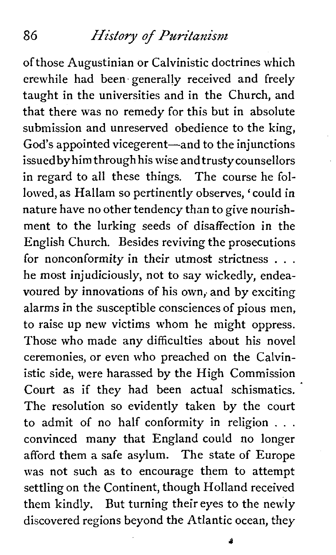$86$ 

of those Augustinian or Calvinistic doctrines which erewhile had been generally received and freely taught in the universities and in the Church, and that there was no remedy for this but in absolute submission and unreserved obedience to the king, God's appointed vicegerent—and to the injunctions issuedby him throughhis wise andtrusty counsellors in regard to all these things. The course he followed, as Hallam so pertinently observes, 'could in nature have no other tendency than to give nourishment to the lurking seeds of disaffection in the English Church. Besides reviving the prosecutions for nonconformity in their utmost strictness . . . he most injudiciously, not to say wickedly, endeavoured by innovations of his own, and by exciting alarms in the susceptible consciences of pious men, to raise up new victims whom he might oppress. Those who made any difficulties about his novel ceremonies, or even who preached on the Calvinistic side, were harassed by the High Commission Court as if they had been actual schismatics. The resolution so evidently taken by the court to admit of no half conformity in religion . . . convinced many that England could no longer afford them a safe asylum. The state of Europe was not such as to encourage them to attempt settling on the Continent, though Holland received them kindly. But turning their eyes to the newly discovered regions beyond the Atlantic ocean, they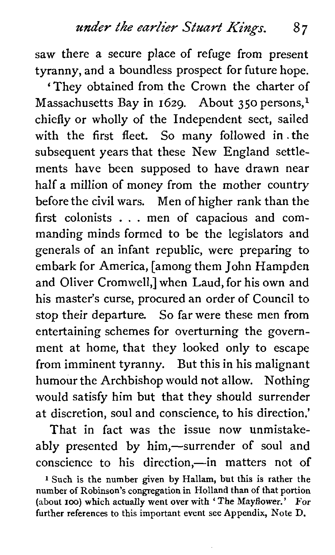saw there a secure place of refuge from present tyranny, and a boundless prospect for future hope.

'They obtained from the Crown the charter of Massachusetts Bay in 1629. About **350** persons,l chiefly or wholly of the Independent sect, sailed with the first fleet. So many followed in. the subsequent years that these New England settlements have been supposed to have drawn near half a million of money from the mother country before the civil wars. Men of higher rank than the first colonists . . . men of capacious and commanding minds formed to be the legislators and generals of an infant republic, were preparing to embark for America, [among them John Hampden and Oliver Cromwell,] when Laud, for his own and his master's curse, procured an order of Council to stop their departure. So far were these men from entertaining schemes for overturning the government at home, that they looked only to escape from imminent tyranny. But this in his malignant humour the Archbishop would not allow. Nothing would satisfy him but that they should surrender at discretion, soul and conscience, to his direction.'

That in fact was the issue now unmistakeably presented by him,-surrender of soul and conscience to his direction,-in matters not of

**<sup>1</sup> Such is the number given by Hallam, but this is rather the number of Robinson's congregation in Holland than of that portion (about loo) which actually went over with 'The Mayflower.' For further references to this important event see Appendix, Note D.**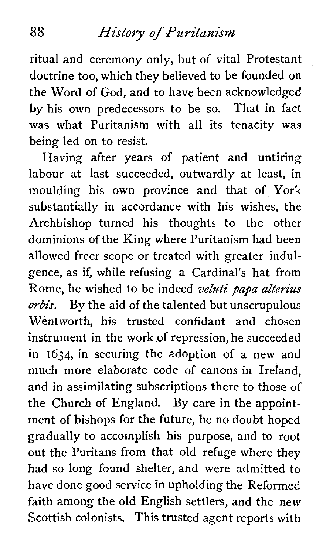ritual and ceremony only, but of vital Protestant doctrine too, which they believed to be founded on the Word of God, and to have been acknowledged by his own predecessors to be so. That in fact was what Puritanism with all its tenacity was being led on to resist.

Having after years of patient and untiring labour at last succeeded, outwardly at least, in moulding his own province and that of York substantially in accordance with his wishes, the Archbishop turned his thoughts to the other dominions of the King where Puritanism had been allowed freer scope or treated with greater indulgence, as if, while refusing a Cardinal's hat from Rome, he wished to be indeed *veluti papa alterins orbis.* By the aid of the talented but unscrupulous Wentworth, his trusted confidant and chosen instrument in the work of repression, he succeeded in 1634, in securing the adoption of a new and much more elaborate code of canons in Ireland, and in assimilating subscriptions there to those of the Church of England. By care in the appointment of bishops for the future, he no doubt hoped gradually to accomplish his purpose, and to root out the Puritans from that old refuge where they had so long found shelter, and were admitted to have done good service in upholding the Reformed faith among the old English settlers, and the new Scottish colonists. This trusted agent reports with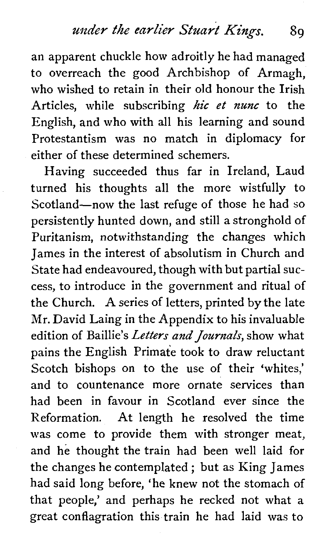*under the earlier Stuart Kings.* 89

an apparent chuckle how adroitly he had managed to overreach the good Archbishop of Armagh, who wished to retain in their old honour the Irish Articles, while subscribing *hic et nunc* to the English, and who with all his learning and sound Protestantism was no match in diplomacy for either of these determined schemers.

Having succeeded thus far in Ireland, Laud turned his thoughts all the more wistfully to Scotland-now the last refuge of those he had so persistently hunted down, and still a stronghold of Puritanism, notwithstanding the changes which James in the interest of absolutism in Church and State had endeavoured, though with but partial success, to introduce in the government and ritual of the Church. A series of letters, printed by the late Mr. David Laing in the Appendix to his invaluable edition of Baillie's Letters and Journals, show what pains the English Primate took to draw reluctant Scotch bishops on to the use of their 'whites,' and to countenance more ornate services than had been in favour in Scotland ever since the Reformation. At length he resolved the time was come to provide them with stronger meat, and he thought the train had been well laid for the changes he contemplated ; but as King James had said long before, 'he knew not the stomach of that people,' and perhaps he recked not what a great conflagration this train he had laid was to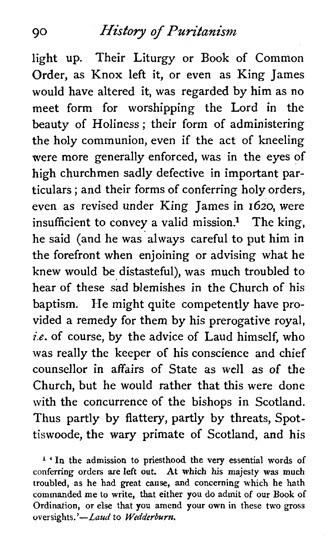light up. Their Liturgy or Book of Common Order, as Knox left it, or even as King James would have altered it, was regarded by him as no meet form for worshipping the Lord in the beauty of Holiness ; their form of administering the holy communion, even if the act of kneeling were more generally enforced, was in the eyes of high churchmen sadly defective in important particulars ; and their forms of conferring holy orders, even as revised under King James in 1620, were insufficient to convey a valid mission.<sup>1</sup> The king, he said (and he was always careful to put him in the forefront when enjoining or advising what he knew would be distasteful), was much troubled to hear of these sad blemishes in the Church of his baptism. He might quite competently have provided a remedy for them by his prerogative royal, **i.e.** of course, by the advice of Laud himself, who was really the keeper of his conscience and chief counsellor in affairs of State as well as of the Church, but he would rather that this were done with the concurrence of the bishops in Scotland. Thus partly by flattery, partly by threats, Spottiswoode, the wary primate of Scotland, and his

**'In the admission to priesthood the very essential words of conferring orders are left out. At which his majesty was much troubled, as he had great cause, and concerning which he hath commanded me to write, that either you do admit of our Book of Ordination, or else that you amend your own in these two gross oversights.** *'-Laud* **to** *Wedderburn.*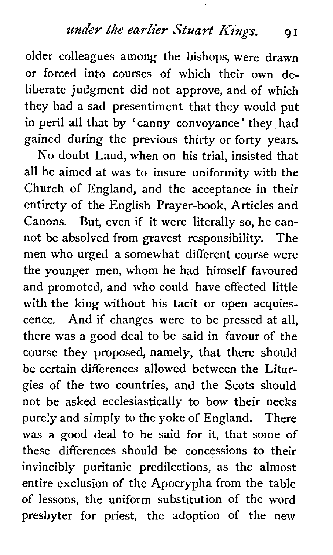older colleagues among the bishops, were drawn or forced into courses of which their own deliberate judgment did not approve, and of which they had a sad presentiment that they would put in peril all that by 'canny convoyance' they had gained during the previous thirty or forty years.

No doubt Laud, when on his trial, insisted that all he aimed at was to insure uniformity with the Church of England, and the acceptance in their entirety of the English Prayer-book, Articles and Canons. But, even if it were literally so, he cannot be absolved from gravest responsibility. The men who urged a somewhat different course were the younger men, whom he had himself favoured and promoted, and who could have effected little with the king without his tacit or open acquiescence. And if changes were to be pressed at all, there was a good deal to be said in favour of the course they proposed, namely, that there should be certain differences allowed between the Liturgies of the two countries, and the Scots should not be asked ecclesiastically to bow their necks purely and simply to the yoke of England. There was a good deal to be said for it, that some of these differences should be concessions to their invincibly puritanic predilections, as the almost entire exclusion of the Apocrypha from the table of lessons, the uniform substitution of the word presbyter for priest, the adoption of the new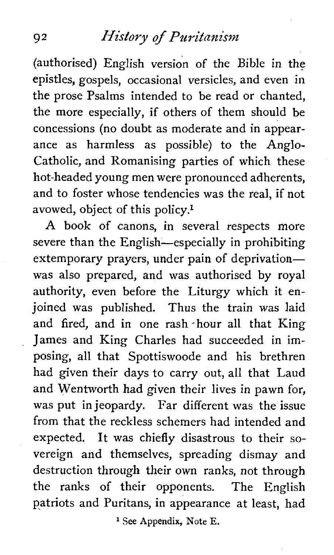(authorised) English version of the Bible in the epistles, gospels, occasional versicles, and even in the prose Psalms intended to be read or chanted, the more especially, if others of them should be concessions (no doubt as moderate and in appearance as harmless as possible) to the Anglo-Catholic, and Romanising parties of which these hot-headed young men were pronounced adherents, and to foster whose tendencies was the real, if not avowed, object of this policy. $<sup>1</sup>$ </sup>

**A** book of canons, in several respects more severe than the English-especially in prohibiting extemporary prayers, under pain of deprivationwas also prepared, and was authorised by royal authority, even before the Liturgy which it enjoined was published. Thus the train was laid and fired, and in one rash -hour all that King James and King Charles had succeeded in imposing, all that Spottiswoode and his brethren had given their days to carry out, all that Laud and Wentworth had given their lives in pawn for, was put in jeopardy. Far different was the issue from that the reckless schemers had intended and expected. It was chiefly disastrous to their sovereign and themselves, spreading dismay and destruction through their own ranks, not through the ranks of their opponents. The English patriots and Puritans, in appearance at least, had

**l** See Appendix, Note E.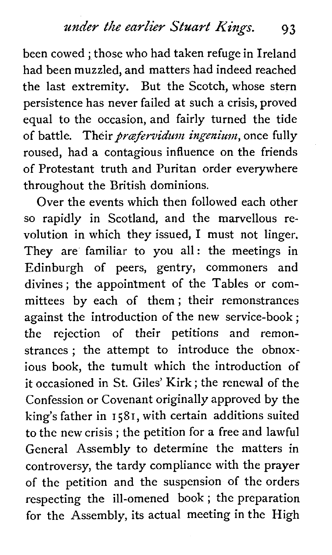been cowed ; those who had taken refuge in Ireland had been muzzled, and matters had indeed reached the last extremity. But the Scotch, whose stern persistence has never failed at such a crisis, proved equal to the occasion, and fairly turned the tide of battle. Their *præfervidum ingenium*, once fully roused, had a contagious influence on the friends of Protestant truth and Puritan order everywhere throughout the British dominions.

Over the events which then followed each other so rapidly in Scotland, and the marvellous revolution in which they issued, I must not linger. They are familiar to you all: the meetings in Edinburgh of peers, gentry, commoners and divines ; the appointment of the Tables or committees by each of them ; their remonstrances against the introduction of the new service-book ; the rejection of their petitions and remonstrances ; the attempt to introduce the obnoxious book, the tumult which the introduction of it occasioned in St. Giles' Kirk ; the renewal of the Confession or Covenant originally approved by the king's father in I 581, with certain additions suited to the new crisis ; the petition for a free and lawful General Assembly to determine the matters in controversy, the tardy compliance with the prayer of the petition and the suspension of the orders respecting the ill-omened book ; the preparation for the Assembly, its actual meeting in the High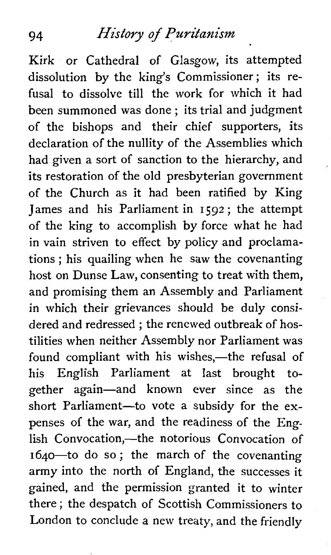Kirk or Cathedral of Glasgow, its attempted dissolution by the king's Commissioner ; its refusal to dissolve till the work for which it had been summoned was done ; its trial and judgment of the bishops and their chief supporters, its declaration of the nullity of the Assemblies which had given a sort of sanction to the hierarchy, and its restoration of the old presbyterian government of the Church as it had been ratified by King James and his Parliament in **I** <sup>592</sup>; the attempt of the king to accomplish by force what he had in vain striven to effect by policy and proclamations ; his quailing when he saw the covenanting host on Dunse Law, consenting to treat with them, and promising them an Assembly and Parliament in which their grievances should be duly considered and redressed ; the renewed outbreak of hostilities when neither Assembly nor Parliament was found compliant with his wishes,—the refusal of his English Parliament at last brought together again-and known ever since as the short Parliament-to vote a subsidy for the expenses of the war, and the readiness of the English Convocation,—the notorious Convocation of 1640-to do so ; the march of the covenanting army into the north of England, the successes it gained, and the permission granted it to winter there ; the despatch of Scottish Commissioners to London to conclude a new treaty, and the friendly